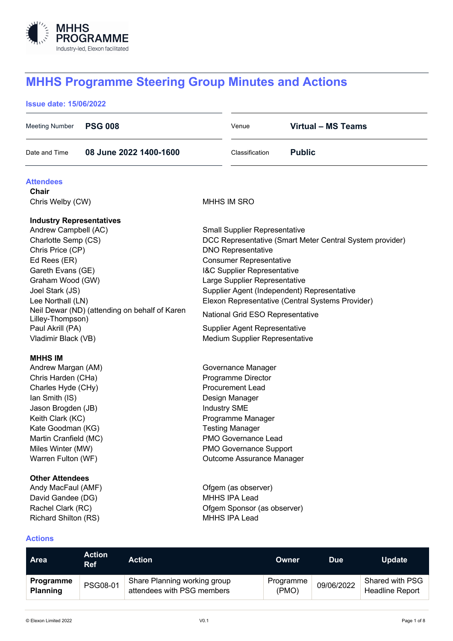

# **MHHS Programme Steering Group Minutes and Actions**

#### **Issue date: 15/06/2022**

| <b>PSG 008</b><br>Meeting Number                                                                                                                                                                                                                                                                                    | Venue                                                                                                                                                                                                                                                                             | <b>Virtual - MS Teams</b>                                                                                                                                   |
|---------------------------------------------------------------------------------------------------------------------------------------------------------------------------------------------------------------------------------------------------------------------------------------------------------------------|-----------------------------------------------------------------------------------------------------------------------------------------------------------------------------------------------------------------------------------------------------------------------------------|-------------------------------------------------------------------------------------------------------------------------------------------------------------|
| 08 June 2022 1400-1600<br>Date and Time                                                                                                                                                                                                                                                                             | Classification                                                                                                                                                                                                                                                                    | <b>Public</b>                                                                                                                                               |
| <b>Attendees</b><br><b>Chair</b><br>Chris Welby (CW)                                                                                                                                                                                                                                                                | <b>MHHS IM SRO</b>                                                                                                                                                                                                                                                                |                                                                                                                                                             |
| <b>Industry Representatives</b><br>Andrew Campbell (AC)<br>Charlotte Semp (CS)<br>Chris Price (CP)<br>Ed Rees (ER)<br>Gareth Evans (GE)<br>Graham Wood (GW)<br>Joel Stark (JS)<br>Lee Northall (LN)<br>Neil Dewar (ND) (attending on behalf of Karen<br>Lilley-Thompson)<br>Paul Akrill (PA)<br>Vladimir Black (VB) | <b>Small Supplier Representative</b><br><b>DNO Representative</b><br><b>Consumer Representative</b><br>I&C Supplier Representative<br>Large Supplier Representative<br>National Grid ESO Representative<br><b>Supplier Agent Representative</b><br>Medium Supplier Representative | DCC Representative (Smart Meter Central System provider)<br>Supplier Agent (Independent) Representative<br>Elexon Representative (Central Systems Provider) |
| <b>MHHS IM</b><br>Andrew Margan (AM)<br>Chris Harden (CHa)<br>Charles Hyde (CHy)<br>Ian Smith (IS)<br>Jason Brogden (JB)<br>Keith Clark (KC)<br>Kate Goodman (KG)<br>Martin Cranfield (MC)<br>Miles Winter (MW)<br>Warren Fulton (WF)                                                                               | Governance Manager<br>Programme Director<br><b>Procurement Lead</b><br>Design Manager<br><b>Industry SME</b><br>Programme Manager<br><b>Testing Manager</b><br>PMO Governance Lead<br><b>PMO Governance Support</b><br>Outcome Assurance Manager                                  |                                                                                                                                                             |
| <b>Other Attendees</b><br>Andy MacFaul (AMF)<br>David Gandee (DG)<br>Rachel Clark (RC)<br><b>Richard Shilton (RS)</b>                                                                                                                                                                                               | Ofgem (as observer)<br>MHHS IPA Lead<br>Ofgem Sponsor (as observer)<br>MHHS IPA Lead                                                                                                                                                                                              |                                                                                                                                                             |

### **Actions**

| <b>Area</b>                         | <b>Action</b><br><b>Ref</b> | <b>Action</b>                                              | <b>Owner</b>       | <b>Due</b> | <b>Update</b>                             |
|-------------------------------------|-----------------------------|------------------------------------------------------------|--------------------|------------|-------------------------------------------|
| <b>Programme</b><br><b>Planning</b> | PSG08-01                    | Share Planning working group<br>attendees with PSG members | Programme<br>(PMO) | 09/06/2022 | Shared with PSG<br><b>Headline Report</b> |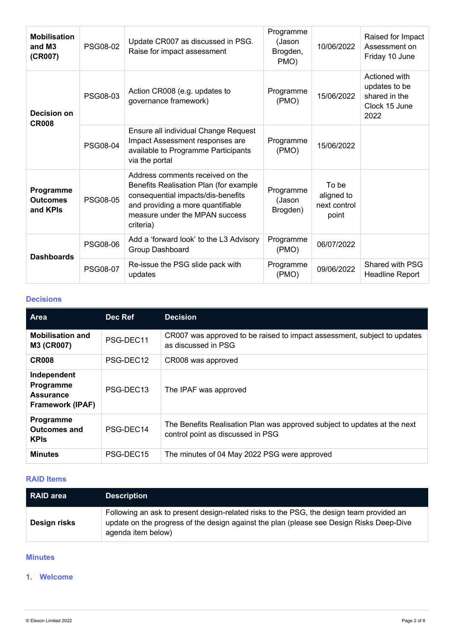| <b>Mobilisation</b><br>and M3<br>(CR007) | PSG08-02                                                                                                                         | Update CR007 as discussed in PSG.<br>Raise for impact assessment                                                                                                                                     | Programme<br>(Jason<br>Brogden,<br>PMO) | 10/06/2022                                   | Raised for Impact<br>Assessment on<br>Friday 10 June                     |
|------------------------------------------|----------------------------------------------------------------------------------------------------------------------------------|------------------------------------------------------------------------------------------------------------------------------------------------------------------------------------------------------|-----------------------------------------|----------------------------------------------|--------------------------------------------------------------------------|
| Decision on<br><b>CR008</b>              | PSG08-03                                                                                                                         | Action CR008 (e.g. updates to<br>governance framework)                                                                                                                                               | Programme<br>(PMO)                      | 15/06/2022                                   | Actioned with<br>updates to be<br>shared in the<br>Clock 15 June<br>2022 |
| <b>PSG08-04</b>                          | Ensure all individual Change Request<br>Impact Assessment responses are<br>available to Programme Participants<br>via the portal | Programme<br>(PMO)                                                                                                                                                                                   | 15/06/2022                              |                                              |                                                                          |
| Programme<br><b>Outcomes</b><br>and KPIs | PSG08-05                                                                                                                         | Address comments received on the<br>Benefits Realisation Plan (for example<br>consequential impacts/dis-benefits<br>and providing a more quantifiable<br>measure under the MPAN success<br>criteria) | Programme<br>(Jason<br>Brogden)         | To be<br>aligned to<br>next control<br>point |                                                                          |
| <b>Dashboards</b>                        | <b>PSG08-06</b>                                                                                                                  | Add a 'forward look' to the L3 Advisory<br>Group Dashboard                                                                                                                                           | Programme<br>(PMO)                      | 06/07/2022                                   |                                                                          |
|                                          | <b>PSG08-07</b>                                                                                                                  | Re-issue the PSG slide pack with<br>updates                                                                                                                                                          | Programme<br>(PMO)                      | 09/06/2022                                   | Shared with PSG<br>Headline Report                                       |

# **Decisions**

| <b>Area</b>                                                             | Dec Ref   | <b>Decision</b>                                                                                                |
|-------------------------------------------------------------------------|-----------|----------------------------------------------------------------------------------------------------------------|
| <b>Mobilisation and</b><br>M3 (CR007)                                   | PSG-DEC11 | CR007 was approved to be raised to impact assessment, subject to updates<br>as discussed in PSG                |
| <b>CR008</b>                                                            | PSG-DEC12 | CR008 was approved                                                                                             |
| Independent<br>Programme<br><b>Assurance</b><br><b>Framework (IPAF)</b> | PSG-DEC13 | The IPAF was approved                                                                                          |
| Programme<br><b>Outcomes and</b><br><b>KPIs</b>                         | PSG-DEC14 | The Benefits Realisation Plan was approved subject to updates at the next<br>control point as discussed in PSG |
| <b>Minutes</b>                                                          | PSG-DEC15 | The minutes of 04 May 2022 PSG were approved                                                                   |

#### **RAID Items**

| RAID area    | <b>Description</b>                                                                                                                                                                                         |
|--------------|------------------------------------------------------------------------------------------------------------------------------------------------------------------------------------------------------------|
| Design risks | Following an ask to present design-related risks to the PSG, the design team provided an<br>update on the progress of the design against the plan (please see Design Risks Deep-Dive<br>agenda item below) |

# **Minutes**

## **1. Welcome**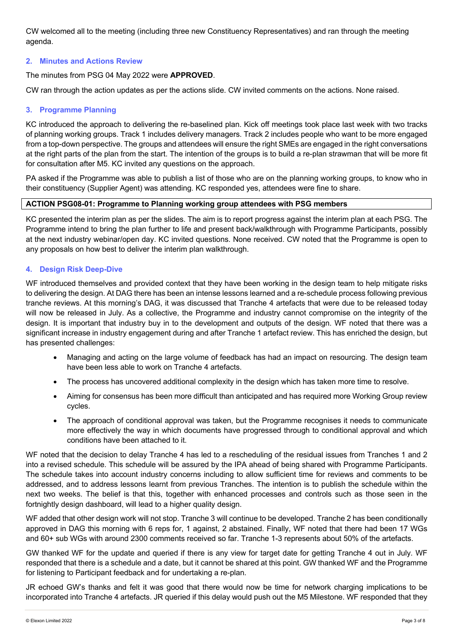CW welcomed all to the meeting (including three new Constituency Representatives) and ran through the meeting agenda.

#### **2. Minutes and Actions Review**

The minutes from PSG 04 May 2022 were **APPROVED**.

CW ran through the action updates as per the actions slide. CW invited comments on the actions. None raised.

# **3. Programme Planning**

KC introduced the approach to delivering the re-baselined plan. Kick off meetings took place last week with two tracks of planning working groups. Track 1 includes delivery managers. Track 2 includes people who want to be more engaged from a top-down perspective. The groups and attendees will ensure the right SMEs are engaged in the right conversations at the right parts of the plan from the start. The intention of the groups is to build a re-plan strawman that will be more fit for consultation after M5. KC invited any questions on the approach.

PA asked if the Programme was able to publish a list of those who are on the planning working groups, to know who in their constituency (Supplier Agent) was attending. KC responded yes, attendees were fine to share.

# **ACTION PSG08-01: Programme to Planning working group attendees with PSG members**

KC presented the interim plan as per the slides. The aim is to report progress against the interim plan at each PSG. The Programme intend to bring the plan further to life and present back/walkthrough with Programme Participants, possibly at the next industry webinar/open day. KC invited questions. None received. CW noted that the Programme is open to any proposals on how best to deliver the interim plan walkthrough.

#### **4. Design Risk Deep-Dive**

WF introduced themselves and provided context that they have been working in the design team to help mitigate risks to delivering the design. At DAG there has been an intense lessons learned and a re-schedule process following previous tranche reviews. At this morning's DAG, it was discussed that Tranche 4 artefacts that were due to be released today will now be released in July. As a collective, the Programme and industry cannot compromise on the integrity of the design. It is important that industry buy in to the development and outputs of the design. WF noted that there was a significant increase in industry engagement during and after Tranche 1 artefact review. This has enriched the design, but has presented challenges:

- Managing and acting on the large volume of feedback has had an impact on resourcing. The design team have been less able to work on Tranche 4 artefacts.
- The process has uncovered additional complexity in the design which has taken more time to resolve.
- Aiming for consensus has been more difficult than anticipated and has required more Working Group review cycles.
- The approach of conditional approval was taken, but the Programme recognises it needs to communicate more effectively the way in which documents have progressed through to conditional approval and which conditions have been attached to it.

WF noted that the decision to delay Tranche 4 has led to a rescheduling of the residual issues from Tranches 1 and 2 into a revised schedule. This schedule will be assured by the IPA ahead of being shared with Programme Participants. The schedule takes into account industry concerns including to allow sufficient time for reviews and comments to be addressed, and to address lessons learnt from previous Tranches. The intention is to publish the schedule within the next two weeks. The belief is that this, together with enhanced processes and controls such as those seen in the fortnightly design dashboard, will lead to a higher quality design.

WF added that other design work will not stop. Tranche 3 will continue to be developed. Tranche 2 has been conditionally approved in DAG this morning with 6 reps for, 1 against, 2 abstained. Finally, WF noted that there had been 17 WGs and 60+ sub WGs with around 2300 comments received so far. Tranche 1-3 represents about 50% of the artefacts.

GW thanked WF for the update and queried if there is any view for target date for getting Tranche 4 out in July. WF responded that there is a schedule and a date, but it cannot be shared at this point. GW thanked WF and the Programme for listening to Participant feedback and for undertaking a re-plan.

JR echoed GW's thanks and felt it was good that there would now be time for network charging implications to be incorporated into Tranche 4 artefacts. JR queried if this delay would push out the M5 Milestone. WF responded that they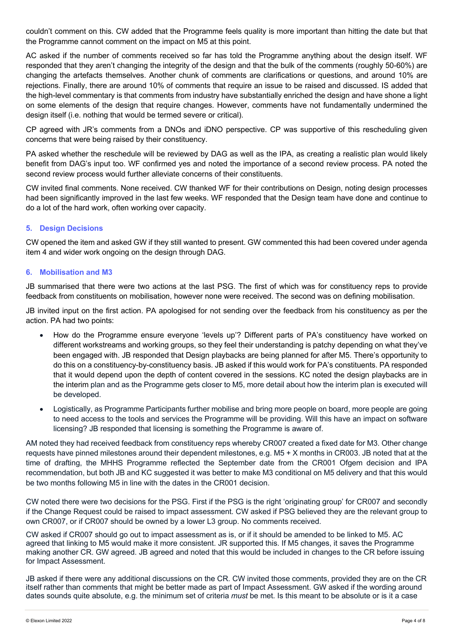couldn't comment on this. CW added that the Programme feels quality is more important than hitting the date but that the Programme cannot comment on the impact on M5 at this point.

AC asked if the number of comments received so far has told the Programme anything about the design itself. WF responded that they aren't changing the integrity of the design and that the bulk of the comments (roughly 50-60%) are changing the artefacts themselves. Another chunk of comments are clarifications or questions, and around 10% are rejections. Finally, there are around 10% of comments that require an issue to be raised and discussed. IS added that the high-level commentary is that comments from industry have substantially enriched the design and have shone a light on some elements of the design that require changes. However, comments have not fundamentally undermined the design itself (i.e. nothing that would be termed severe or critical).

CP agreed with JR's comments from a DNOs and iDNO perspective. CP was supportive of this rescheduling given concerns that were being raised by their constituency.

PA asked whether the reschedule will be reviewed by DAG as well as the IPA, as creating a realistic plan would likely benefit from DAG's input too. WF confirmed yes and noted the importance of a second review process. PA noted the second review process would further alleviate concerns of their constituents.

CW invited final comments. None received. CW thanked WF for their contributions on Design, noting design processes had been significantly improved in the last few weeks. WF responded that the Design team have done and continue to do a lot of the hard work, often working over capacity.

#### **5. Design Decisions**

CW opened the item and asked GW if they still wanted to present. GW commented this had been covered under agenda item 4 and wider work ongoing on the design through DAG.

#### **6. Mobilisation and M3**

JB summarised that there were two actions at the last PSG. The first of which was for constituency reps to provide feedback from constituents on mobilisation, however none were received. The second was on defining mobilisation.

JB invited input on the first action. PA apologised for not sending over the feedback from his constituency as per the action. PA had two points:

- How do the Programme ensure everyone 'levels up'? Different parts of PA's constituency have worked on different workstreams and working groups, so they feel their understanding is patchy depending on what they've been engaged with. JB responded that Design playbacks are being planned for after M5. There's opportunity to do this on a constituency-by-constituency basis. JB asked if this would work for PA's constituents. PA responded that it would depend upon the depth of content covered in the sessions. KC noted the design playbacks are in the interim plan and as the Programme gets closer to M5, more detail about how the interim plan is executed will be developed.
- Logistically, as Programme Participants further mobilise and bring more people on board, more people are going to need access to the tools and services the Programme will be providing. Will this have an impact on software licensing? JB responded that licensing is something the Programme is aware of.

AM noted they had received feedback from constituency reps whereby CR007 created a fixed date for M3. Other change requests have pinned milestones around their dependent milestones, e.g. M5 + X months in CR003. JB noted that at the time of drafting, the MHHS Programme reflected the September date from the CR001 Ofgem decision and IPA recommendation, but both JB and KC suggested it was better to make M3 conditional on M5 delivery and that this would be two months following M5 in line with the dates in the CR001 decision.

CW noted there were two decisions for the PSG. First if the PSG is the right 'originating group' for CR007 and secondly if the Change Request could be raised to impact assessment. CW asked if PSG believed they are the relevant group to own CR007, or if CR007 should be owned by a lower L3 group. No comments received.

CW asked if CR007 should go out to impact assessment as is, or if it should be amended to be linked to M5. AC agreed that linking to M5 would make it more consistent. JR supported this. If M5 changes, it saves the Programme making another CR. GW agreed. JB agreed and noted that this would be included in changes to the CR before issuing for Impact Assessment.

JB asked if there were any additional discussions on the CR. CW invited those comments, provided they are on the CR itself rather than comments that might be better made as part of Impact Assessment. GW asked if the wording around dates sounds quite absolute, e.g. the minimum set of criteria *must* be met. Is this meant to be absolute or is it a case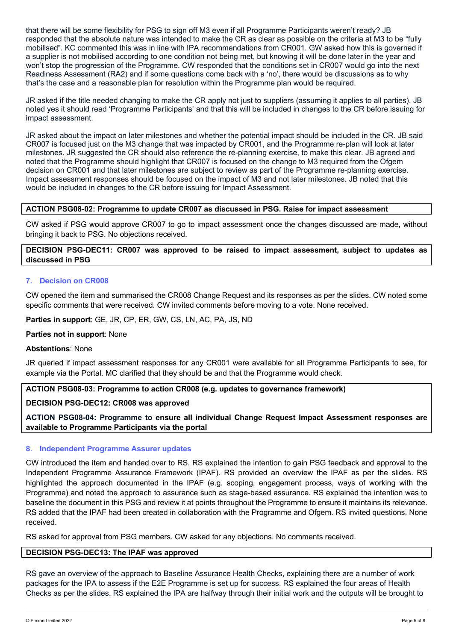that there will be some flexibility for PSG to sign off M3 even if all Programme Participants weren't ready? JB responded that the absolute nature was intended to make the CR as clear as possible on the criteria at M3 to be "fully mobilised". KC commented this was in line with IPA recommendations from CR001. GW asked how this is governed if a supplier is not mobilised according to one condition not being met, but knowing it will be done later in the year and won't stop the progression of the Programme. CW responded that the conditions set in CR007 would go into the next Readiness Assessment (RA2) and if some questions come back with a 'no', there would be discussions as to why that's the case and a reasonable plan for resolution within the Programme plan would be required.

JR asked if the title needed changing to make the CR apply not just to suppliers (assuming it applies to all parties). JB noted yes it should read 'Programme Participants' and that this will be included in changes to the CR before issuing for impact assessment.

JR asked about the impact on later milestones and whether the potential impact should be included in the CR. JB said CR007 is focused just on the M3 change that was impacted by CR001, and the Programme re-plan will look at later milestones. JR suggested the CR should also reference the re-planning exercise, to make this clear. JB agreed and noted that the Programme should highlight that CR007 is focused on the change to M3 required from the Ofgem decision on CR001 and that later milestones are subject to review as part of the Programme re-planning exercise. Impact assessment responses should be focused on the impact of M3 and not later milestones. JB noted that this would be included in changes to the CR before issuing for Impact Assessment.

#### **ACTION PSG08-02: Programme to update CR007 as discussed in PSG. Raise for impact assessment**

CW asked if PSG would approve CR007 to go to impact assessment once the changes discussed are made, without bringing it back to PSG. No objections received.

#### **DECISION PSG-DEC11: CR007 was approved to be raised to impact assessment, subject to updates as discussed in PSG**

#### **7. Decision on CR008**

CW opened the item and summarised the CR008 Change Request and its responses as per the slides. CW noted some specific comments that were received. CW invited comments before moving to a vote. None received.

**Parties in support**: GE, JR, CP, ER, GW, CS, LN, AC, PA, JS, ND

#### **Parties not in support**: None

#### **Abstentions**: None

JR queried if impact assessment responses for any CR001 were available for all Programme Participants to see, for example via the Portal. MC clarified that they should be and that the Programme would check.

**ACTION PSG08-03: Programme to action CR008 (e.g. updates to governance framework)**

#### **DECISION PSG-DEC12: CR008 was approved**

**ACTION PSG08-04: Programme to ensure all individual Change Request Impact Assessment responses are available to Programme Participants via the portal**

#### **8. Independent Programme Assurer updates**

CW introduced the item and handed over to RS. RS explained the intention to gain PSG feedback and approval to the Independent Programme Assurance Framework (IPAF). RS provided an overview the IPAF as per the slides. RS highlighted the approach documented in the IPAF (e.g. scoping, engagement process, ways of working with the Programme) and noted the approach to assurance such as stage-based assurance. RS explained the intention was to baseline the document in this PSG and review it at points throughout the Programme to ensure it maintains its relevance. RS added that the IPAF had been created in collaboration with the Programme and Ofgem. RS invited questions. None received.

RS asked for approval from PSG members. CW asked for any objections. No comments received.

#### **DECISION PSG-DEC13: The IPAF was approved**

RS gave an overview of the approach to Baseline Assurance Health Checks, explaining there are a number of work packages for the IPA to assess if the E2E Programme is set up for success. RS explained the four areas of Health Checks as per the slides. RS explained the IPA are halfway through their initial work and the outputs will be brought to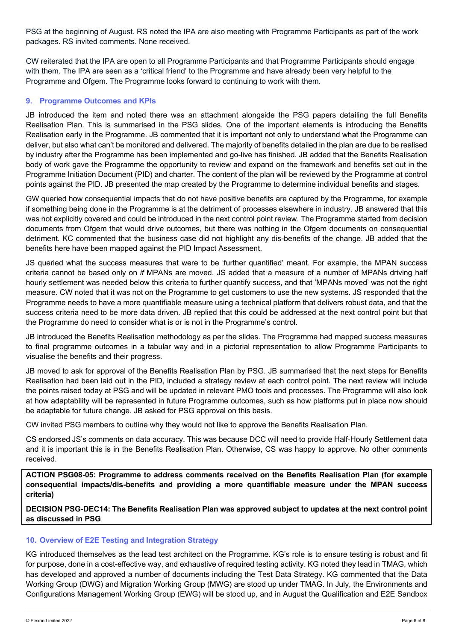PSG at the beginning of August. RS noted the IPA are also meeting with Programme Participants as part of the work packages. RS invited comments. None received.

CW reiterated that the IPA are open to all Programme Participants and that Programme Participants should engage with them. The IPA are seen as a 'critical friend' to the Programme and have already been very helpful to the Programme and Ofgem. The Programme looks forward to continuing to work with them.

#### **9. Programme Outcomes and KPIs**

JB introduced the item and noted there was an attachment alongside the PSG papers detailing the full Benefits Realisation Plan. This is summarised in the PSG slides. One of the important elements is introducing the Benefits Realisation early in the Programme. JB commented that it is important not only to understand what the Programme can deliver, but also what can't be monitored and delivered. The majority of benefits detailed in the plan are due to be realised by industry after the Programme has been implemented and go-live has finished. JB added that the Benefits Realisation body of work gave the Programme the opportunity to review and expand on the framework and benefits set out in the Programme Initiation Document (PID) and charter. The content of the plan will be reviewed by the Programme at control points against the PID. JB presented the map created by the Programme to determine individual benefits and stages.

GW queried how consequential impacts that do not have positive benefits are captured by the Programme, for example if something being done in the Programme is at the detriment of processes elsewhere in industry. JB answered that this was not explicitly covered and could be introduced in the next control point review. The Programme started from decision documents from Ofgem that would drive outcomes, but there was nothing in the Ofgem documents on consequential detriment. KC commented that the business case did not highlight any dis-benefits of the change. JB added that the benefits here have been mapped against the PID Impact Assessment.

JS queried what the success measures that were to be 'further quantified' meant. For example, the MPAN success criteria cannot be based only on *if* MPANs are moved. JS added that a measure of a number of MPANs driving half hourly settlement was needed below this criteria to further quantify success, and that 'MPANs moved' was not the right measure. CW noted that it was not on the Programme to get customers to use the new systems. JS responded that the Programme needs to have a more quantifiable measure using a technical platform that delivers robust data, and that the success criteria need to be more data driven. JB replied that this could be addressed at the next control point but that the Programme do need to consider what is or is not in the Programme's control.

JB introduced the Benefits Realisation methodology as per the slides. The Programme had mapped success measures to final programme outcomes in a tabular way and in a pictorial representation to allow Programme Participants to visualise the benefits and their progress.

JB moved to ask for approval of the Benefits Realisation Plan by PSG. JB summarised that the next steps for Benefits Realisation had been laid out in the PID, included a strategy review at each control point. The next review will include the points raised today at PSG and will be updated in relevant PMO tools and processes. The Programme will also look at how adaptability will be represented in future Programme outcomes, such as how platforms put in place now should be adaptable for future change. JB asked for PSG approval on this basis.

CW invited PSG members to outline why they would not like to approve the Benefits Realisation Plan.

CS endorsed JS's comments on data accuracy. This was because DCC will need to provide Half-Hourly Settlement data and it is important this is in the Benefits Realisation Plan. Otherwise, CS was happy to approve. No other comments received.

**ACTION PSG08-05: Programme to address comments received on the Benefits Realisation Plan (for example consequential impacts/dis-benefits and providing a more quantifiable measure under the MPAN success criteria)**

**DECISION PSG-DEC14: The Benefits Realisation Plan was approved subject to updates at the next control point as discussed in PSG**

#### **10. Overview of E2E Testing and Integration Strategy**

KG introduced themselves as the lead test architect on the Programme. KG's role is to ensure testing is robust and fit for purpose, done in a cost-effective way, and exhaustive of required testing activity. KG noted they lead in TMAG, which has developed and approved a number of documents including the Test Data Strategy. KG commented that the Data Working Group (DWG) and Migration Working Group (MWG) are stood up under TMAG. In July, the Environments and Configurations Management Working Group (EWG) will be stood up, and in August the Qualification and E2E Sandbox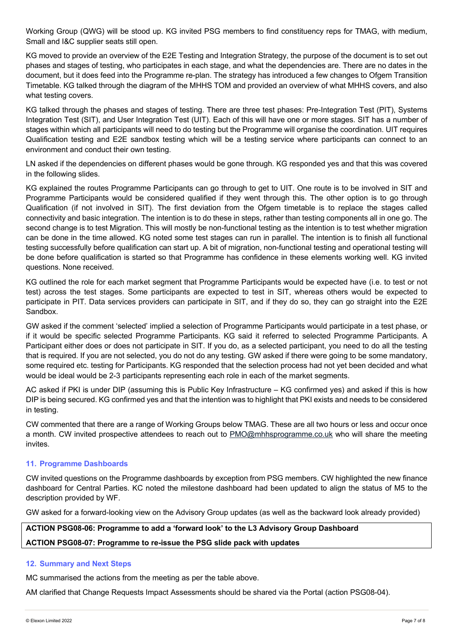Working Group (QWG) will be stood up. KG invited PSG members to find constituency reps for TMAG, with medium, Small and I&C supplier seats still open.

KG moved to provide an overview of the E2E Testing and Integration Strategy, the purpose of the document is to set out phases and stages of testing, who participates in each stage, and what the dependencies are. There are no dates in the document, but it does feed into the Programme re-plan. The strategy has introduced a few changes to Ofgem Transition Timetable. KG talked through the diagram of the MHHS TOM and provided an overview of what MHHS covers, and also what testing covers.

KG talked through the phases and stages of testing. There are three test phases: Pre-Integration Test (PIT), Systems Integration Test (SIT), and User Integration Test (UIT). Each of this will have one or more stages. SIT has a number of stages within which all participants will need to do testing but the Programme will organise the coordination. UIT requires Qualification testing and E2E sandbox testing which will be a testing service where participants can connect to an environment and conduct their own testing.

LN asked if the dependencies on different phases would be gone through. KG responded yes and that this was covered in the following slides.

KG explained the routes Programme Participants can go through to get to UIT. One route is to be involved in SIT and Programme Participants would be considered qualified if they went through this. The other option is to go through Qualification (if not involved in SIT). The first deviation from the Ofgem timetable is to replace the stages called connectivity and basic integration. The intention is to do these in steps, rather than testing components all in one go. The second change is to test Migration. This will mostly be non-functional testing as the intention is to test whether migration can be done in the time allowed. KG noted some test stages can run in parallel. The intention is to finish all functional testing successfully before qualification can start up. A bit of migration, non-functional testing and operational testing will be done before qualification is started so that Programme has confidence in these elements working well. KG invited questions. None received.

KG outlined the role for each market segment that Programme Participants would be expected have (i.e. to test or not test) across the test stages. Some participants are expected to test in SIT, whereas others would be expected to participate in PIT. Data services providers can participate in SIT, and if they do so, they can go straight into the E2E Sandbox.

GW asked if the comment 'selected' implied a selection of Programme Participants would participate in a test phase, or if it would be specific selected Programme Participants. KG said it referred to selected Programme Participants. A Participant either does or does not participate in SIT. If you do, as a selected participant, you need to do all the testing that is required. If you are not selected, you do not do any testing. GW asked if there were going to be some mandatory, some required etc. testing for Participants. KG responded that the selection process had not yet been decided and what would be ideal would be 2-3 participants representing each role in each of the market segments.

AC asked if PKI is under DIP (assuming this is Public Key Infrastructure – KG confirmed yes) and asked if this is how DIP is being secured. KG confirmed yes and that the intention was to highlight that PKI exists and needs to be considered in testing.

CW commented that there are a range of Working Groups below TMAG. These are all two hours or less and occur once a month. CW invited prospective attendees to reach out to PMO@mhhsprogramme.co.uk who will share the meeting invites.

#### **11. Programme Dashboards**

CW invited questions on the Programme dashboards by exception from PSG members. CW highlighted the new finance dashboard for Central Parties. KC noted the milestone dashboard had been updated to align the status of M5 to the description provided by WF.

GW asked for a forward-looking view on the Advisory Group updates (as well as the backward look already provided)

# **ACTION PSG08-06: Programme to add a 'forward look' to the L3 Advisory Group Dashboard ACTION PSG08-07: Programme to re-issue the PSG slide pack with updates**

#### **12. Summary and Next Steps**

MC summarised the actions from the meeting as per the table above.

AM clarified that Change Requests Impact Assessments should be shared via the Portal (action PSG08-04).